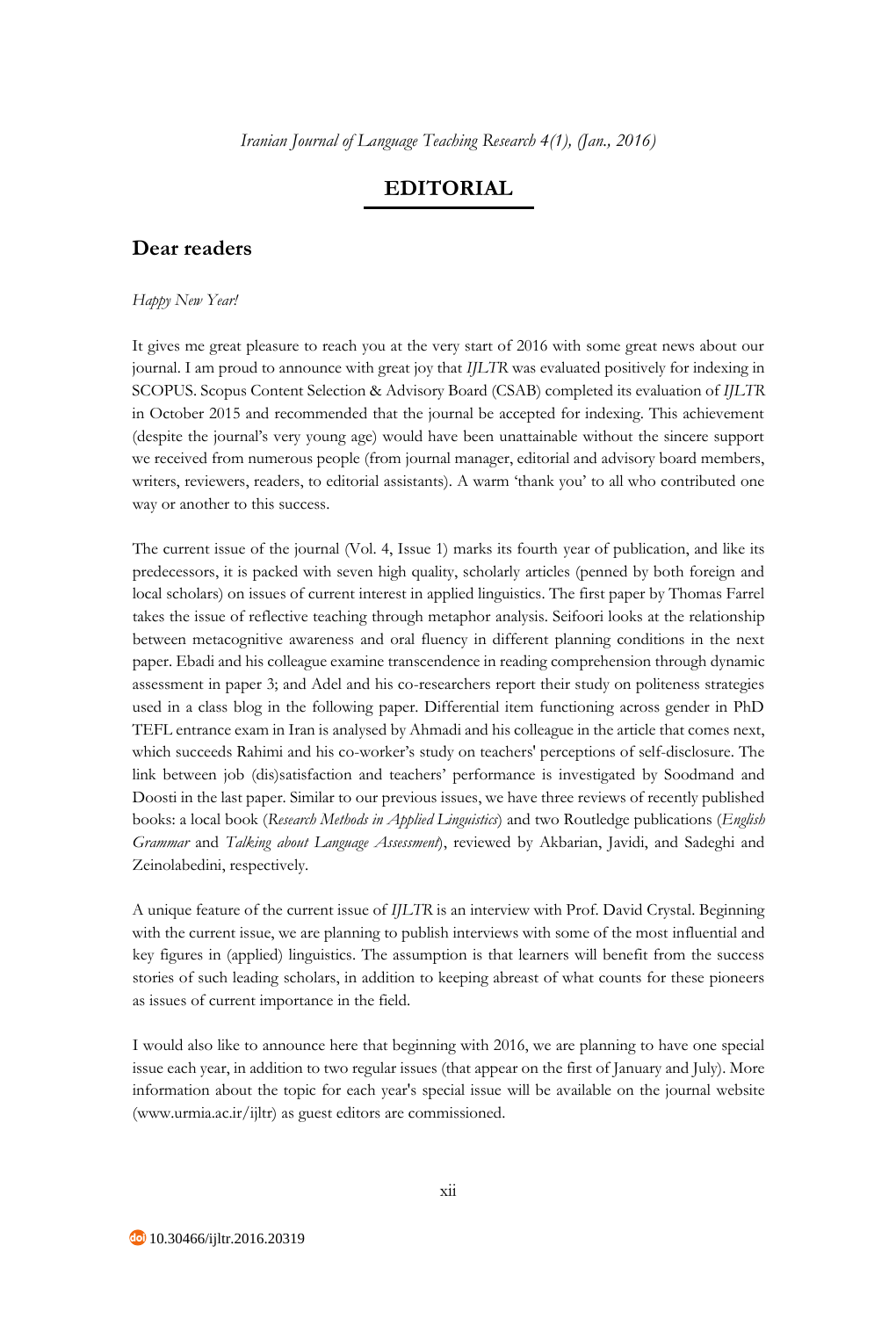## **EDITORIAL**

## **Dear readers**

## *Happy New Year!*

It gives me great pleasure to reach you at the very start of 2016 with some great news about our journal. I am proud to announce with great joy that *IJLTR* was evaluated positively for indexing in SCOPUS. Scopus Content Selection & Advisory Board (CSAB) completed its evaluation of *IJLTR* in October 2015 and recommended that the journal be accepted for indexing. This achievement (despite the journal's very young age) would have been unattainable without the sincere support we received from numerous people (from journal manager, editorial and advisory board members, writers, reviewers, readers, to editorial assistants). A warm 'thank you' to all who contributed one way or another to this success.

The current issue of the journal (Vol. 4, Issue 1) marks its fourth year of publication, and like its predecessors, it is packed with seven high quality, scholarly articles (penned by both foreign and local scholars) on issues of current interest in applied linguistics. The first paper by Thomas Farrel takes the issue of reflective teaching through metaphor analysis. Seifoori looks at the relationship between metacognitive awareness and oral fluency in different planning conditions in the next paper. Ebadi and his colleague examine transcendence in reading comprehension through dynamic assessment in paper 3; and Adel and his co-researchers report their study on politeness strategies used in a class blog in the following paper. Differential item functioning across gender in PhD TEFL entrance exam in Iran is analysed by Ahmadi and his colleague in the article that comes next, which succeeds Rahimi and his co-worker's study on teachers' perceptions of self-disclosure. The link between job (dis)satisfaction and teachers' performance is investigated by Soodmand and Doosti in the last paper. Similar to our previous issues, we have three reviews of recently published books: a local book (*Research Methods in Applied Linguistics*) and two Routledge publications (*English Grammar* and *Talking about Language Assessment*), reviewed by Akbarian, Javidi, and Sadeghi and Zeinolabedini, respectively.

A unique feature of the current issue of *IJLTR* is an interview with Prof. David Crystal. Beginning with the current issue, we are planning to publish interviews with some of the most influential and key figures in (applied) linguistics. The assumption is that learners will benefit from the success stories of such leading scholars, in addition to keeping abreast of what counts for these pioneers as issues of current importance in the field.

I would also like to announce here that beginning with 2016, we are planning to have one special issue each year, in addition to two regular issues (that appear on the first of January and July). More information about the topic for each year's special issue will be available on the journal website (www.urmia.ac.ir/ijltr) as guest editors are commissioned.